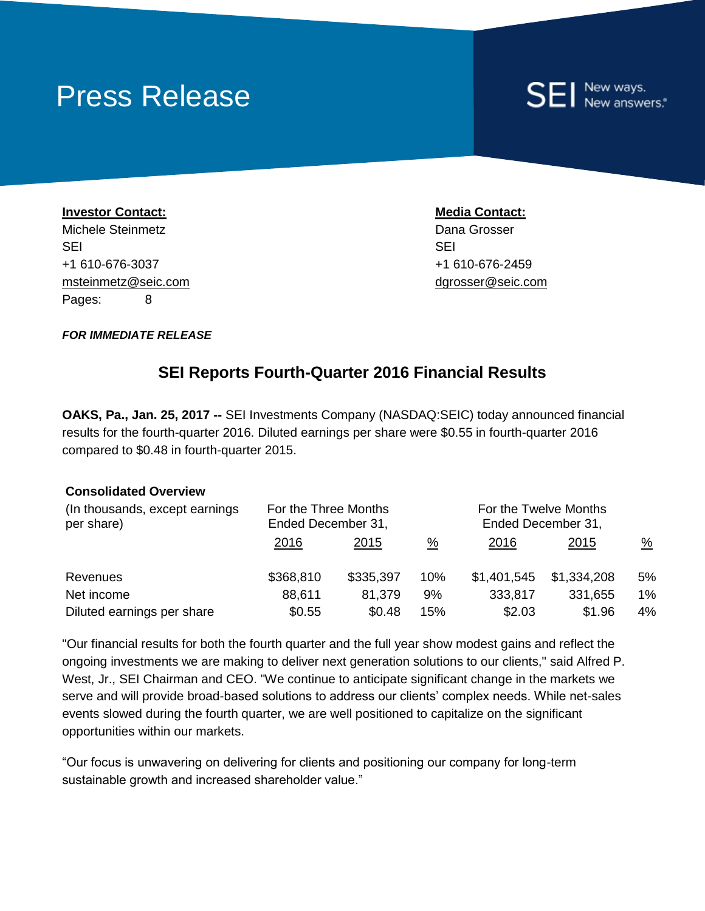# Press Release

# New ways.<br>New answers.\*

**Investor Contact: Media Contact:** Michele Steinmetz **Dana Grosser** Number 2014 SEI SEI +1 610-676-3037 +1 610-676-2459 msteinmetz@seic.com dgrosser@seic.com Pages: 8

*FOR IMMEDIATE RELEASE*

### **SEI Reports Fourth-Quarter 2016 Financial Results**

**OAKS, Pa., Jan. 25, 2017 --** SEI Investments Company (NASDAQ:SEIC) today announced financial results for the fourth-quarter 2016. Diluted earnings per share were \$0.55 in fourth-quarter 2016 compared to \$0.48 in fourth-quarter 2015.

#### **Consolidated Overview**

| (In thousands, except earnings<br>per share) | For the Three Months<br>Ended December 31, |           |               | For the Twelve Months<br>Ended December 31, |             |               |
|----------------------------------------------|--------------------------------------------|-----------|---------------|---------------------------------------------|-------------|---------------|
|                                              | <u>2016</u>                                | 2015      | $\frac{0}{0}$ | <u>2016</u>                                 | 2015        | $\frac{0}{2}$ |
| Revenues                                     | \$368,810                                  | \$335,397 | 10%           | \$1,401,545                                 | \$1,334,208 | 5%            |
| Net income                                   | 88,611                                     | 81,379    | 9%            | 333,817                                     | 331,655     | $1\%$         |
| Diluted earnings per share                   | \$0.55                                     | \$0.48    | 15%           | \$2.03                                      | \$1.96      | $4\%$         |

"Our financial results for both the fourth quarter and the full year show modest gains and reflect the ongoing investments we are making to deliver next generation solutions to our clients," said Alfred P. West, Jr., SEI Chairman and CEO. "We continue to anticipate significant change in the markets we serve and will provide broad-based solutions to address our clients' complex needs. While net-sales events slowed during the fourth quarter, we are well positioned to capitalize on the significant opportunities within our markets.

"Our focus is unwavering on delivering for clients and positioning our company for long-term sustainable growth and increased shareholder value."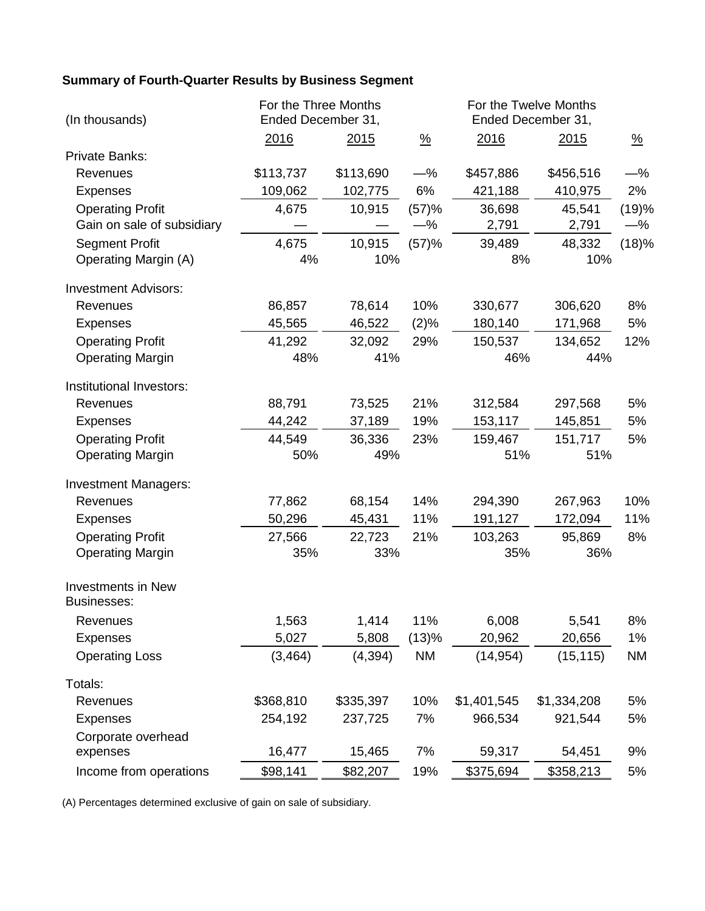# **Summary of Fourth-Quarter Results by Business Segment**

| (In thousands)                           | For the Three Months<br>Ended December 31, |           |               | For the Twelve Months<br>Ended December 31, |             |               |
|------------------------------------------|--------------------------------------------|-----------|---------------|---------------------------------------------|-------------|---------------|
|                                          | 2016                                       | 2015      | $\frac{9}{6}$ | 2016                                        | 2015        | $\frac{9}{6}$ |
| Private Banks:                           |                                            |           |               |                                             |             |               |
| Revenues                                 | \$113,737                                  | \$113,690 | $-$ %         | \$457,886                                   | \$456,516   | —%            |
| <b>Expenses</b>                          | 109,062                                    | 102,775   | 6%            | 421,188                                     | 410,975     | 2%            |
| <b>Operating Profit</b>                  | 4,675                                      | 10,915    | (57)%         | 36,698                                      | 45,541      | (19)%         |
| Gain on sale of subsidiary               |                                            |           | $-$ %         | 2,791                                       | 2,791       | —%            |
| <b>Segment Profit</b>                    | 4,675                                      | 10,915    | (57)%         | 39,489                                      | 48,332      | (18)%         |
| <b>Operating Margin (A)</b>              | 4%                                         | 10%       |               | 8%                                          | 10%         |               |
| <b>Investment Advisors:</b>              |                                            |           |               |                                             |             |               |
| Revenues                                 | 86,857                                     | 78,614    | 10%           | 330,677                                     | 306,620     | 8%            |
| <b>Expenses</b>                          | 45,565                                     | 46,522    | (2)%          | 180,140                                     | 171,968     | 5%            |
| <b>Operating Profit</b>                  | 41,292                                     | 32,092    | 29%           | 150,537                                     | 134,652     | 12%           |
| <b>Operating Margin</b>                  | 48%                                        | 41%       |               | 46%                                         | 44%         |               |
| Institutional Investors:                 |                                            |           |               |                                             |             |               |
| Revenues                                 | 88,791                                     | 73,525    | 21%           | 312,584                                     | 297,568     | 5%            |
| <b>Expenses</b>                          | 44,242                                     | 37,189    | 19%           | 153,117                                     | 145,851     | 5%            |
| <b>Operating Profit</b>                  | 44,549                                     | 36,336    | 23%           | 159,467                                     | 151,717     | 5%            |
| <b>Operating Margin</b>                  | 50%                                        | 49%       |               | 51%                                         | 51%         |               |
| <b>Investment Managers:</b>              |                                            |           |               |                                             |             |               |
| Revenues                                 | 77,862                                     | 68,154    | 14%           | 294,390                                     | 267,963     | 10%           |
| <b>Expenses</b>                          | 50,296                                     | 45,431    | 11%           | 191,127                                     | 172,094     | 11%           |
| <b>Operating Profit</b>                  | 27,566                                     | 22,723    | 21%           | 103,263                                     | 95,869      | 8%            |
| <b>Operating Margin</b>                  | 35%                                        | 33%       |               | 35%                                         | 36%         |               |
| <b>Investments in New</b><br>Businesses: |                                            |           |               |                                             |             |               |
| Revenues                                 | 1,563                                      | 1,414     | 11%           | 6,008                                       | 5,541       | 8%            |
| <b>Expenses</b>                          | 5,027                                      | 5,808     | (13)%         | 20,962                                      | 20,656      | 1%            |
| <b>Operating Loss</b>                    | (3, 464)                                   | (4, 394)  | <b>NM</b>     | (14, 954)                                   | (15, 115)   | <b>NM</b>     |
| Totals:                                  |                                            |           |               |                                             |             |               |
| Revenues                                 | \$368,810                                  | \$335,397 | 10%           | \$1,401,545                                 | \$1,334,208 | 5%            |
| <b>Expenses</b>                          | 254,192                                    | 237,725   | 7%            | 966,534                                     | 921,544     | 5%            |
| Corporate overhead                       |                                            |           |               |                                             |             |               |
| expenses                                 | 16,477                                     | 15,465    | 7%            | 59,317                                      | 54,451      | 9%            |
| Income from operations                   | \$98,141                                   | \$82,207  | 19%           | \$375,694                                   | \$358,213   | 5%            |

(A) Percentages determined exclusive of gain on sale of subsidiary.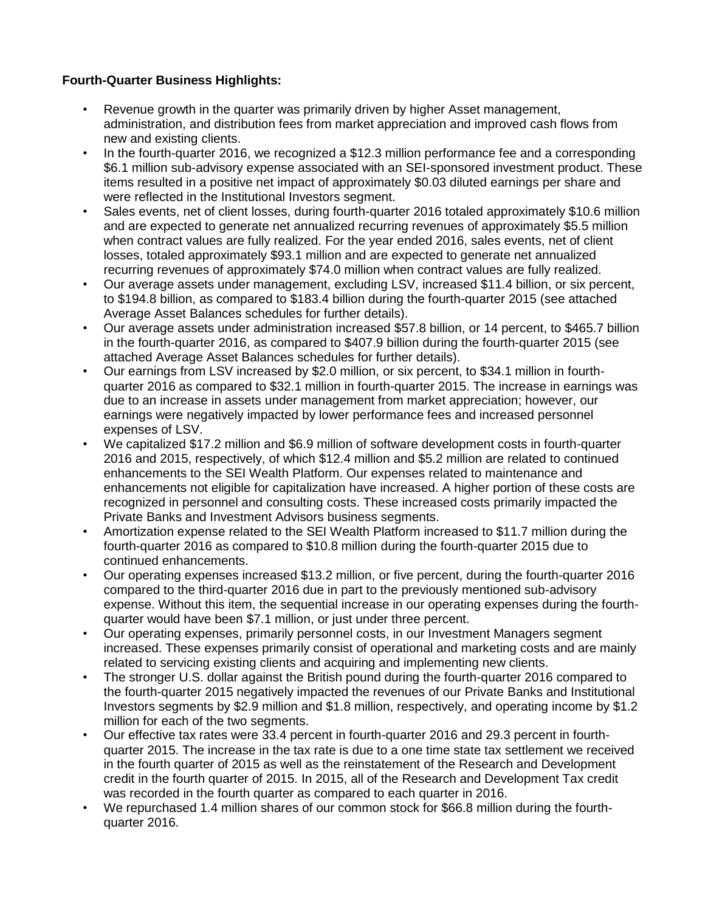#### **Fourth-Quarter Business Highlights:**

- Revenue growth in the quarter was primarily driven by higher Asset management, administration, and distribution fees from market appreciation and improved cash flows from new and existing clients.
- In the fourth-quarter 2016, we recognized a \$12.3 million performance fee and a corresponding \$6.1 million sub-advisory expense associated with an SEI-sponsored investment product. These items resulted in a positive net impact of approximately \$0.03 diluted earnings per share and were reflected in the Institutional Investors segment.
- Sales events, net of client losses, during fourth-quarter 2016 totaled approximately \$10.6 million and are expected to generate net annualized recurring revenues of approximately \$5.5 million when contract values are fully realized. For the year ended 2016, sales events, net of client losses, totaled approximately \$93.1 million and are expected to generate net annualized recurring revenues of approximately \$74.0 million when contract values are fully realized.
- Our average assets under management, excluding LSV, increased \$11.4 billion, or six percent, to \$194.8 billion, as compared to \$183.4 billion during the fourth-quarter 2015 (see attached Average Asset Balances schedules for further details).
- Our average assets under administration increased \$57.8 billion, or 14 percent, to \$465.7 billion in the fourth-quarter 2016, as compared to \$407.9 billion during the fourth-quarter 2015 (see attached Average Asset Balances schedules for further details).
- Our earnings from LSV increased by \$2.0 million, or six percent, to \$34.1 million in fourthquarter 2016 as compared to \$32.1 million in fourth-quarter 2015. The increase in earnings was due to an increase in assets under management from market appreciation; however, our earnings were negatively impacted by lower performance fees and increased personnel expenses of LSV.
- We capitalized \$17.2 million and \$6.9 million of software development costs in fourth-quarter 2016 and 2015, respectively, of which \$12.4 million and \$5.2 million are related to continued enhancements to the SEI Wealth Platform. Our expenses related to maintenance and enhancements not eligible for capitalization have increased. A higher portion of these costs are recognized in personnel and consulting costs. These increased costs primarily impacted the Private Banks and Investment Advisors business segments.
- Amortization expense related to the SEI Wealth Platform increased to \$11.7 million during the fourth-quarter 2016 as compared to \$10.8 million during the fourth-quarter 2015 due to continued enhancements.
- Our operating expenses increased \$13.2 million, or five percent, during the fourth-quarter 2016 compared to the third-quarter 2016 due in part to the previously mentioned sub-advisory expense. Without this item, the sequential increase in our operating expenses during the fourthquarter would have been \$7.1 million, or just under three percent.
- Our operating expenses, primarily personnel costs, in our Investment Managers segment increased. These expenses primarily consist of operational and marketing costs and are mainly related to servicing existing clients and acquiring and implementing new clients.
- The stronger U.S. dollar against the British pound during the fourth-quarter 2016 compared to the fourth-quarter 2015 negatively impacted the revenues of our Private Banks and Institutional Investors segments by \$2.9 million and \$1.8 million, respectively, and operating income by \$1.2 million for each of the two segments.
- Our effective tax rates were 33.4 percent in fourth-quarter 2016 and 29.3 percent in fourthquarter 2015. The increase in the tax rate is due to a one time state tax settlement we received in the fourth quarter of 2015 as well as the reinstatement of the Research and Development credit in the fourth quarter of 2015. In 2015, all of the Research and Development Tax credit was recorded in the fourth quarter as compared to each quarter in 2016.
- We repurchased 1.4 million shares of our common stock for \$66.8 million during the fourthquarter 2016.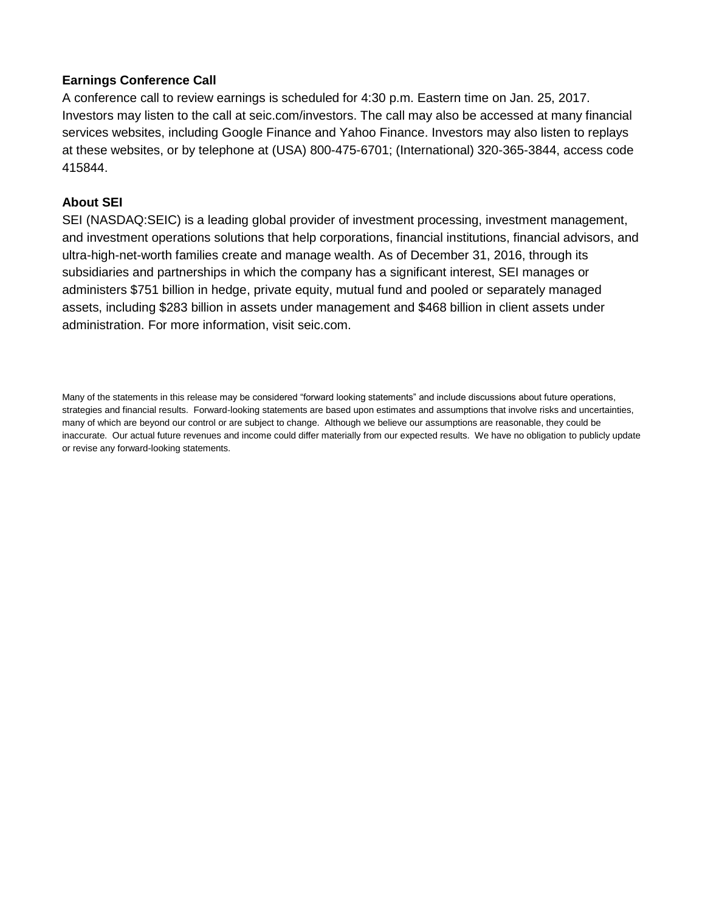#### **Earnings Conference Call**

A conference call to review earnings is scheduled for 4:30 p.m. Eastern time on Jan. 25, 2017. Investors may listen to the call at seic.com/investors. The call may also be accessed at many financial services websites, including Google Finance and Yahoo Finance. Investors may also listen to replays at these websites, or by telephone at (USA) 800-475-6701; (International) 320-365-3844, access code 415844.

#### **About SEI**

SEI (NASDAQ:SEIC) is a leading global provider of investment processing, investment management, and investment operations solutions that help corporations, financial institutions, financial advisors, and ultra-high-net-worth families create and manage wealth. As of December 31, 2016, through its subsidiaries and partnerships in which the company has a significant interest, SEI manages or administers \$751 billion in hedge, private equity, mutual fund and pooled or separately managed assets, including \$283 billion in assets under management and \$468 billion in client assets under administration. For more information, visit seic.com.

Many of the statements in this release may be considered "forward looking statements" and include discussions about future operations, strategies and financial results. Forward-looking statements are based upon estimates and assumptions that involve risks and uncertainties, many of which are beyond our control or are subject to change. Although we believe our assumptions are reasonable, they could be inaccurate. Our actual future revenues and income could differ materially from our expected results. We have no obligation to publicly update or revise any forward-looking statements.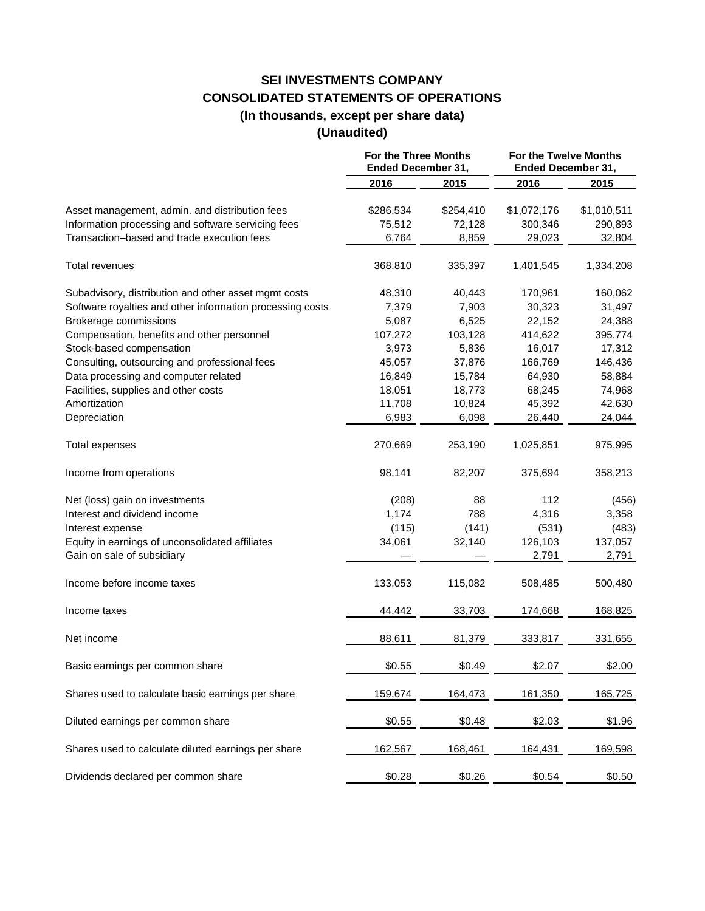## **SEI INVESTMENTS COMPANY CONSOLIDATED STATEMENTS OF OPERATIONS (In thousands, except per share data)**

#### **(Unaudited)**

|                                                           | For the Three Months<br><b>Ended December 31,</b> |           | For the Twelve Months<br><b>Ended December 31,</b> |             |
|-----------------------------------------------------------|---------------------------------------------------|-----------|----------------------------------------------------|-------------|
|                                                           | 2016                                              | 2015      | 2016                                               | 2015        |
| Asset management, admin. and distribution fees            | \$286,534                                         | \$254,410 | \$1,072,176                                        | \$1,010,511 |
| Information processing and software servicing fees        | 75,512                                            | 72,128    | 300,346                                            | 290,893     |
| Transaction-based and trade execution fees                | 6,764                                             | 8,859     | 29,023                                             | 32,804      |
| Total revenues                                            | 368,810                                           | 335,397   | 1,401,545                                          | 1,334,208   |
| Subadvisory, distribution and other asset mgmt costs      | 48,310                                            | 40,443    | 170,961                                            | 160,062     |
| Software royalties and other information processing costs | 7,379                                             | 7,903     | 30,323                                             | 31,497      |
| Brokerage commissions                                     | 5,087                                             | 6,525     | 22,152                                             | 24,388      |
| Compensation, benefits and other personnel                | 107,272                                           | 103,128   | 414,622                                            | 395,774     |
| Stock-based compensation                                  | 3,973                                             | 5,836     | 16,017                                             | 17,312      |
| Consulting, outsourcing and professional fees             | 45,057                                            | 37,876    | 166,769                                            | 146,436     |
| Data processing and computer related                      | 16,849                                            | 15,784    | 64,930                                             | 58,884      |
| Facilities, supplies and other costs                      | 18,051                                            | 18,773    | 68,245                                             | 74,968      |
| Amortization                                              | 11,708                                            | 10,824    | 45,392                                             | 42,630      |
| Depreciation                                              | 6,983                                             | 6,098     | 26,440                                             | 24,044      |
| Total expenses                                            | 270,669                                           | 253,190   | 1,025,851                                          | 975,995     |
| Income from operations                                    | 98,141                                            | 82,207    | 375,694                                            | 358,213     |
| Net (loss) gain on investments                            | (208)                                             | 88        | 112                                                | (456)       |
| Interest and dividend income                              | 1,174                                             | 788       | 4,316                                              | 3,358       |
| Interest expense                                          | (115)                                             | (141)     | (531)                                              | (483)       |
| Equity in earnings of unconsolidated affiliates           | 34,061                                            | 32,140    | 126,103                                            | 137,057     |
| Gain on sale of subsidiary                                |                                                   |           | 2,791                                              | 2,791       |
| Income before income taxes                                | 133,053                                           | 115,082   | 508,485                                            | 500,480     |
| Income taxes                                              | 44,442                                            | 33,703    | 174,668                                            | 168,825     |
| Net income                                                | 88,611                                            | 81,379    | 333,817                                            | 331,655     |
| Basic earnings per common share                           | \$0.55                                            | \$0.49    | \$2.07                                             | \$2.00      |
| Shares used to calculate basic earnings per share         | 159,674                                           | 164,473   | 161,350                                            | 165,725     |
| Diluted earnings per common share                         | \$0.55                                            | \$0.48    | \$2.03                                             | \$1.96      |
| Shares used to calculate diluted earnings per share       | 162,567                                           | 168,461   | 164,431                                            | 169,598     |
| Dividends declared per common share                       | \$0.28                                            | \$0.26    | \$0.54                                             | \$0.50      |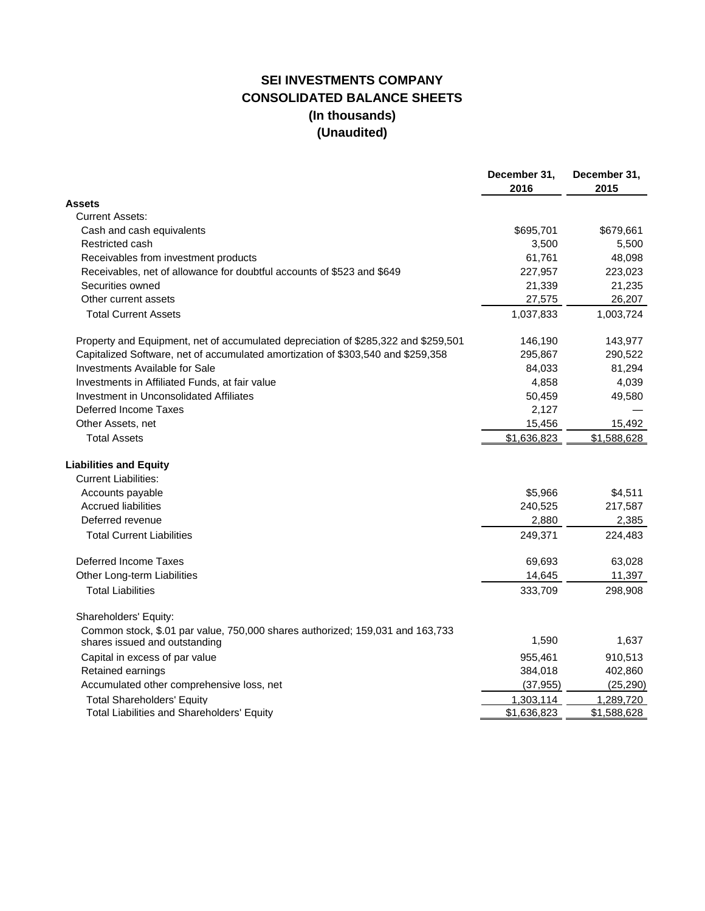### **SEI INVESTMENTS COMPANY CONSOLIDATED BALANCE SHEETS (In thousands) (Unaudited)**

|                                                                                                                | December 31,<br>2016 | December 31,<br>2015 |
|----------------------------------------------------------------------------------------------------------------|----------------------|----------------------|
| <b>Assets</b>                                                                                                  |                      |                      |
| <b>Current Assets:</b>                                                                                         |                      |                      |
| Cash and cash equivalents                                                                                      | \$695,701            | \$679,661            |
| Restricted cash                                                                                                | 3,500                | 5,500                |
| Receivables from investment products                                                                           | 61,761               | 48,098               |
| Receivables, net of allowance for doubtful accounts of \$523 and \$649                                         | 227,957              | 223,023              |
| Securities owned                                                                                               | 21,339               | 21,235               |
| Other current assets                                                                                           | 27,575               | 26,207               |
| <b>Total Current Assets</b>                                                                                    | 1,037,833            | 1,003,724            |
| Property and Equipment, net of accumulated depreciation of \$285,322 and \$259,501                             | 146,190              | 143,977              |
| Capitalized Software, net of accumulated amortization of \$303,540 and \$259,358                               | 295,867              | 290,522              |
| Investments Available for Sale                                                                                 | 84,033               | 81,294               |
| Investments in Affiliated Funds, at fair value                                                                 | 4,858                | 4,039                |
| Investment in Unconsolidated Affiliates                                                                        | 50,459               | 49,580               |
| Deferred Income Taxes                                                                                          | 2,127                |                      |
| Other Assets, net                                                                                              | 15,456               | 15,492               |
| <b>Total Assets</b>                                                                                            | \$1,636,823          | \$1,588,628          |
| <b>Liabilities and Equity</b>                                                                                  |                      |                      |
| <b>Current Liabilities:</b>                                                                                    |                      |                      |
| Accounts payable                                                                                               | \$5,966              | \$4,511              |
| <b>Accrued liabilities</b>                                                                                     | 240,525              | 217,587              |
| Deferred revenue                                                                                               | 2,880                | 2,385                |
| <b>Total Current Liabilities</b>                                                                               | 249,371              | 224,483              |
| Deferred Income Taxes                                                                                          | 69,693               | 63,028               |
| Other Long-term Liabilities                                                                                    | 14,645               | 11,397               |
| <b>Total Liabilities</b>                                                                                       | 333,709              | 298,908              |
| Shareholders' Equity:                                                                                          |                      |                      |
| Common stock, \$.01 par value, 750,000 shares authorized; 159,031 and 163,733<br>shares issued and outstanding | 1,590                | 1,637                |
| Capital in excess of par value                                                                                 | 955,461              | 910,513              |
| Retained earnings                                                                                              | 384,018              | 402,860              |
| Accumulated other comprehensive loss, net                                                                      | (37, 955)            | (25, 290)            |
| <b>Total Shareholders' Equity</b>                                                                              | 1,303,114            | 1,289,720            |
| <b>Total Liabilities and Shareholders' Equity</b>                                                              | \$1,636,823          | \$1,588,628          |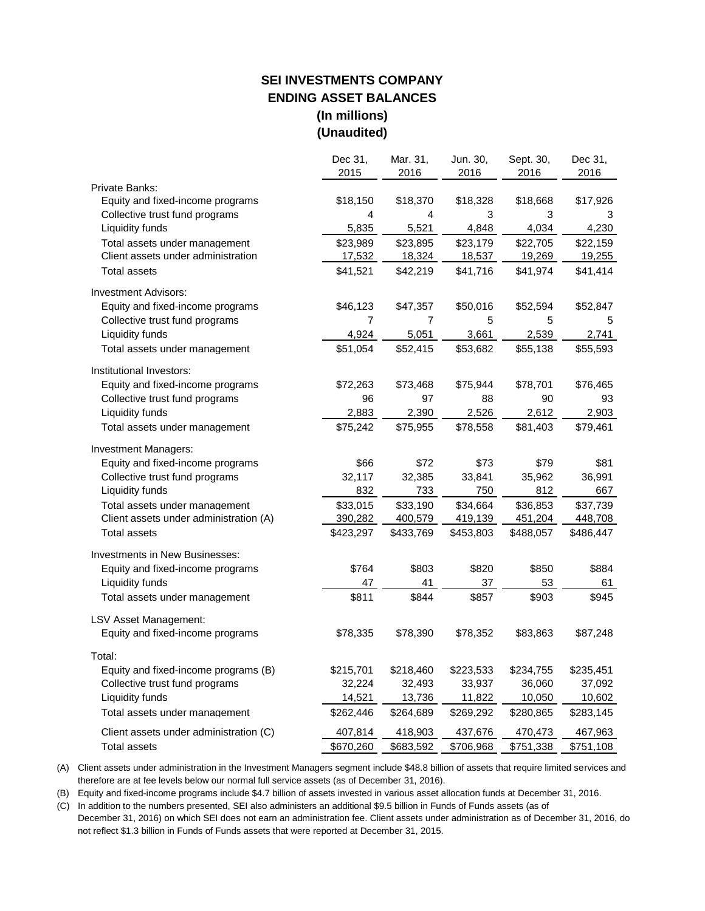#### **SEI INVESTMENTS COMPANY ENDING ASSET BALANCES (In millions) (Unaudited)**

|                                        | Dec 31,        | Mar. 31,       | Jun. 30,  | Sept. 30, | Dec 31,   |
|----------------------------------------|----------------|----------------|-----------|-----------|-----------|
|                                        | 2015           | 2016           | 2016      | 2016      | 2016      |
| Private Banks:                         |                |                |           |           |           |
| Equity and fixed-income programs       | \$18,150       | \$18,370       | \$18,328  | \$18,668  | \$17,926  |
| Collective trust fund programs         | 4              | 4              | 3         | 3         | 3         |
| Liquidity funds                        | 5,835          | 5,521          | 4,848     | 4,034     | 4,230     |
| Total assets under management          | \$23,989       | \$23,895       | \$23,179  | \$22,705  | \$22,159  |
| Client assets under administration     | 17,532         | 18,324         | 18,537    | 19,269    | 19,255    |
| <b>Total assets</b>                    | \$41,521       | \$42,219       | \$41,716  | \$41,974  | \$41,414  |
| <b>Investment Advisors:</b>            |                |                |           |           |           |
| Equity and fixed-income programs       | \$46,123       | \$47,357       | \$50,016  | \$52,594  | \$52,847  |
| Collective trust fund programs         | $\overline{7}$ | $\overline{7}$ | 5         | 5         | 5         |
| Liquidity funds                        | 4,924          | 5,051          | 3,661     | 2,539     | 2,741     |
| Total assets under management          | \$51,054       | \$52,415       | \$53,682  | \$55,138  | \$55,593  |
| Institutional Investors:               |                |                |           |           |           |
| Equity and fixed-income programs       | \$72,263       | \$73,468       | \$75,944  | \$78,701  | \$76,465  |
| Collective trust fund programs         | 96             | 97             | 88        | 90        | 93        |
| Liquidity funds                        | 2,883          | 2,390          | 2,526     | 2,612     | 2,903     |
| Total assets under management          | \$75,242       | \$75,955       | \$78,558  | \$81,403  | \$79,461  |
| <b>Investment Managers:</b>            |                |                |           |           |           |
| Equity and fixed-income programs       | \$66           | \$72           | \$73      | \$79      | \$81      |
| Collective trust fund programs         | 32,117         | 32,385         | 33,841    | 35,962    | 36,991    |
| Liquidity funds                        | 832            | 733            | 750       | 812       | 667       |
| Total assets under management          | \$33,015       | \$33,190       | \$34,664  | \$36,853  | \$37,739  |
| Client assets under administration (A) | 390,282        | 400,579        | 419,139   | 451,204   | 448,708   |
| <b>Total assets</b>                    | \$423,297      | \$433,769      | \$453,803 | \$488,057 | \$486,447 |
| <b>Investments in New Businesses:</b>  |                |                |           |           |           |
| Equity and fixed-income programs       | \$764          | \$803          | \$820     | \$850     | \$884     |
| Liquidity funds                        | 47             | 41             | 37        | 53        | 61        |
| Total assets under management          | \$811          | \$844          | \$857     | \$903     | \$945     |
| LSV Asset Management:                  |                |                |           |           |           |
| Equity and fixed-income programs       | \$78,335       | \$78,390       | \$78,352  | \$83,863  | \$87,248  |
| Total:                                 |                |                |           |           |           |
| Equity and fixed-income programs (B)   | \$215,701      | \$218,460      | \$223,533 | \$234,755 | \$235,451 |
| Collective trust fund programs         | 32,224         | 32,493         | 33,937    | 36,060    | 37,092    |
| Liquidity funds                        | 14,521         | 13,736         | 11,822    | 10,050    | 10,602    |
| Total assets under management          | \$262,446      | \$264,689      | \$269,292 | \$280,865 | \$283,145 |
| Client assets under administration (C) | 407,814        | 418,903        | 437,676   | 470,473   | 467,963   |
| <b>Total assets</b>                    | \$670,260      | \$683,592      | \$706,968 | \$751,338 | \$751,108 |

(A) Client assets under administration in the Investment Managers segment include \$48.8 billion of assets that require limited services and therefore are at fee levels below our normal full service assets (as of December 31, 2016).

(B) Equity and fixed-income programs include \$4.7 billion of assets invested in various asset allocation funds at December 31, 2016.

(C) In addition to the numbers presented, SEI also administers an additional \$9.5 billion in Funds of Funds assets (as of

December 31, 2016) on which SEI does not earn an administration fee. Client assets under administration as of December 31, 2016, do not reflect \$1.3 billion in Funds of Funds assets that were reported at December 31, 2015.